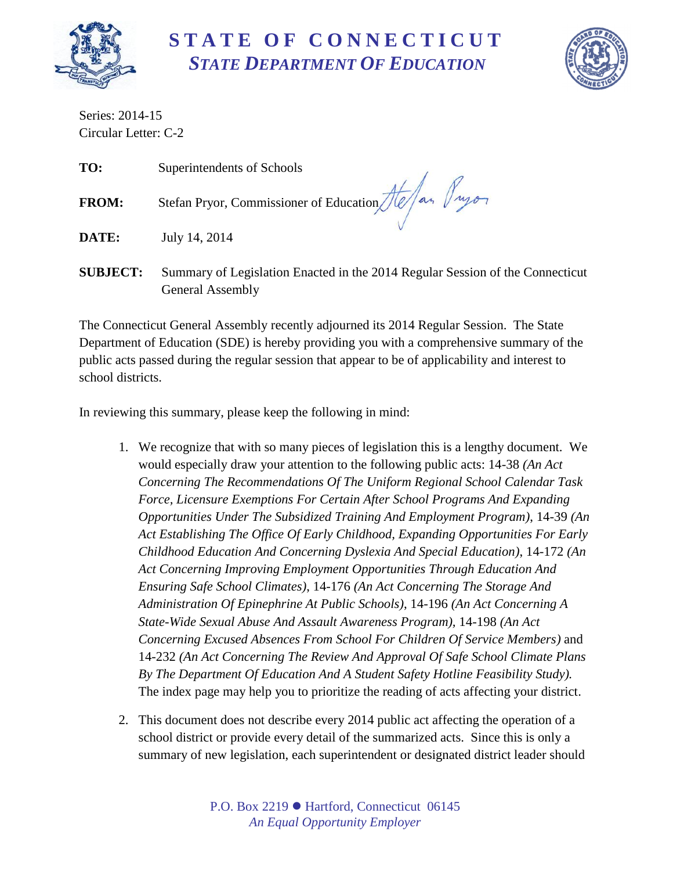

# **S T A T E O F C O N N E C T I C U T** *STATE DEPARTMENT OF EDUCATION*



Series: 2014-15 Circular Letter: C-2

**TO:** Superintendents of Schools **FROM:** Stefan Pryor, Commissioner of Education *Jte A*<sub>an</sub> *Jugon* **DATE:** July 14, 2014

**SUBJECT:** Summary of Legislation Enacted in the 2014 Regular Session of the Connecticut General Assembly

The Connecticut General Assembly recently adjourned its 2014 Regular Session. The State Department of Education (SDE) is hereby providing you with a comprehensive summary of the public acts passed during the regular session that appear to be of applicability and interest to school districts.

In reviewing this summary, please keep the following in mind:

- 1. We recognize that with so many pieces of legislation this is a lengthy document. We would especially draw your attention to the following public acts: 14-38 *(An Act Concerning The Recommendations Of The Uniform Regional School Calendar Task Force, Licensure Exemptions For Certain After School Programs And Expanding Opportunities Under The Subsidized Training And Employment Program)*, 14-39 *(An Act Establishing The Office Of Early Childhood, Expanding Opportunities For Early Childhood Education And Concerning Dyslexia And Special Education)*, 14-172 *(An Act Concerning Improving Employment Opportunities Through Education And Ensuring Safe School Climates)*, 14-176 *(An Act Concerning The Storage And Administration Of Epinephrine At Public Schools)*, 14-196 *(An Act Concerning A State-Wide Sexual Abuse And Assault Awareness Program),* 14-198 *(An Act Concerning Excused Absences From School For Children Of Service Members)* and 14-232 *(An Act Concerning The Review And Approval Of Safe School Climate Plans By The Department Of Education And A Student Safety Hotline Feasibility Study).* The index page may help you to prioritize the reading of acts affecting your district.
- 2. This document does not describe every 2014 public act affecting the operation of a school district or provide every detail of the summarized acts. Since this is only a summary of new legislation, each superintendent or designated district leader should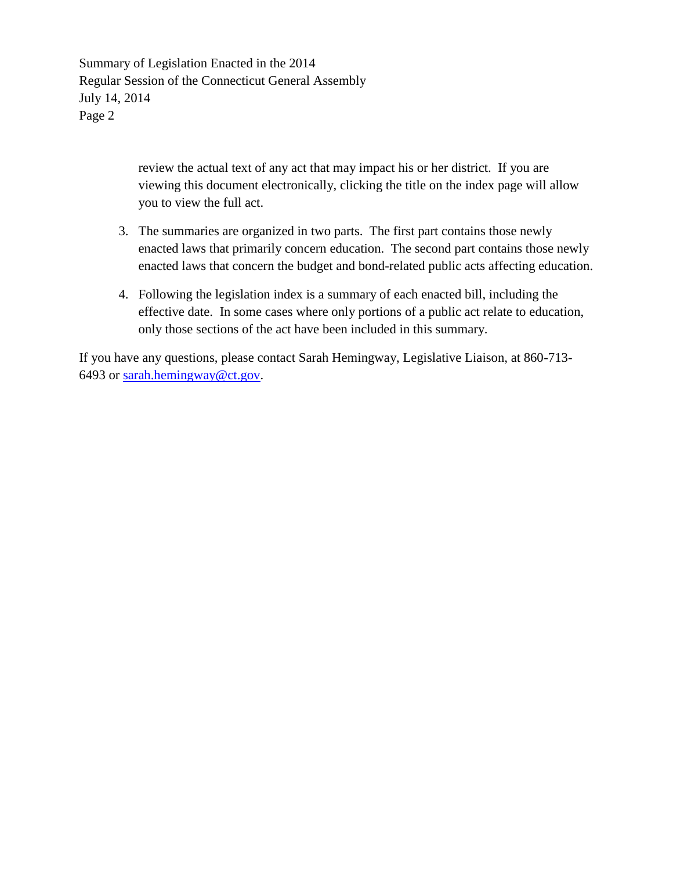Summary of Legislation Enacted in the 2014 Regular Session of the Connecticut General Assembly July 14, 2014 Page 2

> review the actual text of any act that may impact his or her district. If you are viewing this document electronically, clicking the title on the index page will allow you to view the full act.

- 3. The summaries are organized in two parts. The first part contains those newly enacted laws that primarily concern education. The second part contains those newly enacted laws that concern the budget and bond-related public acts affecting education.
- 4. Following the legislation index is a summary of each enacted bill, including the effective date. In some cases where only portions of a public act relate to education, only those sections of the act have been included in this summary.

If you have any questions, please contact Sarah Hemingway, Legislative Liaison, at 860-713- 6493 or [sarah.hemingway@ct.gov.](mailto:sarah.hemingway@ct.gov)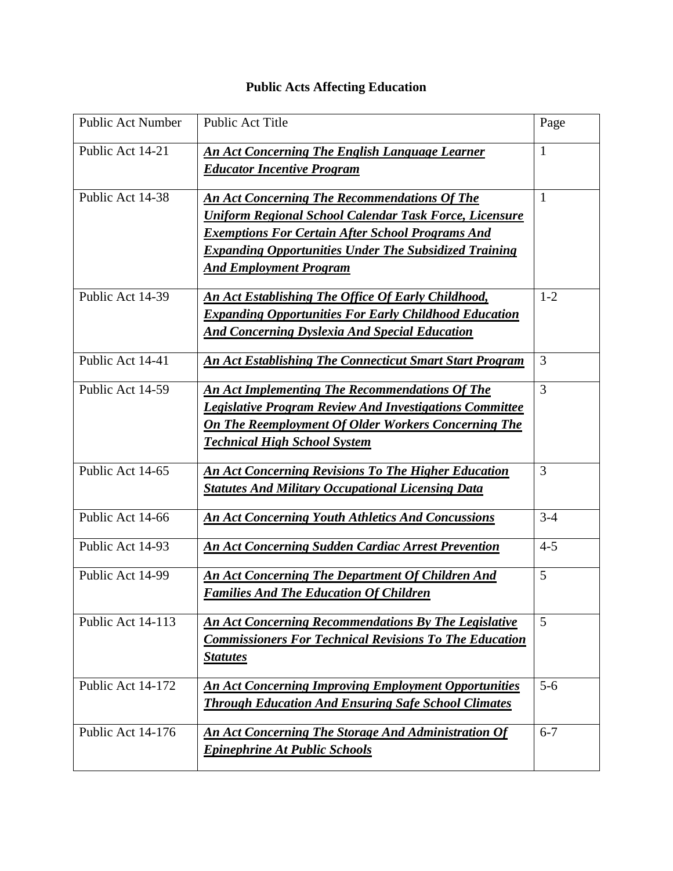## **Public Acts Affecting Education**

| <b>Public Act Number</b> | Public Act Title                                                                                                                                                                                                                                                                 | Page         |
|--------------------------|----------------------------------------------------------------------------------------------------------------------------------------------------------------------------------------------------------------------------------------------------------------------------------|--------------|
| Public Act 14-21         | An Act Concerning The English Language Learner<br><b>Educator Incentive Program</b>                                                                                                                                                                                              | 1            |
| Public Act 14-38         | <b>An Act Concerning The Recommendations Of The</b><br><b>Uniform Regional School Calendar Task Force, Licensure</b><br><b>Exemptions For Certain After School Programs And</b><br><b>Expanding Opportunities Under The Subsidized Training</b><br><b>And Employment Program</b> | $\mathbf{1}$ |
| Public Act 14-39         | <b>An Act Establishing The Office Of Early Childhood,</b><br><b>Expanding Opportunities For Early Childhood Education</b><br><b>And Concerning Dyslexia And Special Education</b>                                                                                                | $1 - 2$      |
| Public Act 14-41         | <b>An Act Establishing The Connecticut Smart Start Program</b>                                                                                                                                                                                                                   | 3            |
| Public Act 14-59         | An Act Implementing The Recommendations Of The<br><b>Legislative Program Review And Investigations Committee</b><br><b>On The Reemployment Of Older Workers Concerning The</b><br><b>Technical High School System</b>                                                            | 3            |
| Public Act 14-65         | <b>An Act Concerning Revisions To The Higher Education</b><br><b>Statutes And Military Occupational Licensing Data</b>                                                                                                                                                           | 3            |
| Public Act 14-66         | <b>An Act Concerning Youth Athletics And Concussions</b>                                                                                                                                                                                                                         | $3-4$        |
| Public Act 14-93         | <b>An Act Concerning Sudden Cardiac Arrest Prevention</b>                                                                                                                                                                                                                        | $4 - 5$      |
| Public Act 14-99         | An Act Concerning The Department Of Children And<br><b>Families And The Education Of Children</b>                                                                                                                                                                                | 5            |
| Public Act 14-113        | <b>An Act Concerning Recommendations By The Legislative</b><br><b>Commissioners For Technical Revisions To The Education</b><br><b>Statutes</b>                                                                                                                                  | 5            |
| Public Act 14-172        | <b>An Act Concerning Improving Employment Opportunities</b><br><b>Through Education And Ensuring Safe School Climates</b>                                                                                                                                                        | $5 - 6$      |
| Public Act 14-176        | <b>An Act Concerning The Storage And Administration Of</b><br><b>Epinephrine At Public Schools</b>                                                                                                                                                                               | $6 - 7$      |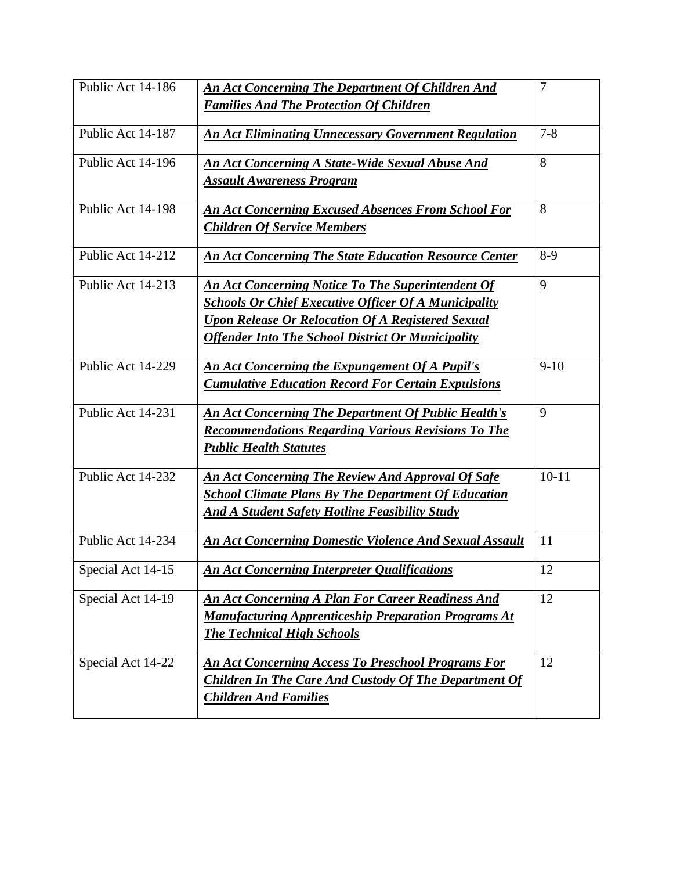| Public Act 14-186 | <b>An Act Concerning The Department Of Children And</b>       | $\overline{7}$ |
|-------------------|---------------------------------------------------------------|----------------|
|                   | <b>Families And The Protection Of Children</b>                |                |
| Public Act 14-187 | <b>An Act Eliminating Unnecessary Government Regulation</b>   | $7 - 8$        |
| Public Act 14-196 | <b>An Act Concerning A State-Wide Sexual Abuse And</b>        | 8              |
|                   | <b>Assault Awareness Program</b>                              |                |
| Public Act 14-198 | <b>An Act Concerning Excused Absences From School For</b>     | 8              |
|                   | <b>Children Of Service Members</b>                            |                |
| Public Act 14-212 | <b>An Act Concerning The State Education Resource Center</b>  | $8-9$          |
| Public Act 14-213 | <b>An Act Concerning Notice To The Superintendent Of</b>      | 9              |
|                   | <b>Schools Or Chief Executive Officer Of A Municipality</b>   |                |
|                   | <b>Upon Release Or Relocation Of A Registered Sexual</b>      |                |
|                   | <b>Offender Into The School District Or Municipality</b>      |                |
| Public Act 14-229 | <b>An Act Concerning the Expungement Of A Pupil's</b>         | $9 - 10$       |
|                   | <b>Cumulative Education Record For Certain Expulsions</b>     |                |
| Public Act 14-231 | <b>An Act Concerning The Department Of Public Health's</b>    | 9              |
|                   | <b>Recommendations Regarding Various Revisions To The</b>     |                |
|                   | <b>Public Health Statutes</b>                                 |                |
| Public Act 14-232 | <b>An Act Concerning The Review And Approval Of Safe</b>      | $10 - 11$      |
|                   | <b>School Climate Plans By The Department Of Education</b>    |                |
|                   | <b>And A Student Safety Hotline Feasibility Study</b>         |                |
| Public Act 14-234 | <b>An Act Concerning Domestic Violence And Sexual Assault</b> | 11             |
| Special Act 14-15 | <b>An Act Concerning Interpreter Qualifications</b>           | 12             |
| Special Act 14-19 | <b>An Act Concerning A Plan For Career Readiness And</b>      | 12             |
|                   | <b>Manufacturing Apprenticeship Preparation Programs At</b>   |                |
|                   | <b>The Technical High Schools</b>                             |                |
| Special Act 14-22 | <b>An Act Concerning Access To Preschool Programs For</b>     | 12             |
|                   | <b>Children In The Care And Custody Of The Department Of</b>  |                |
|                   | <b>Children And Families</b>                                  |                |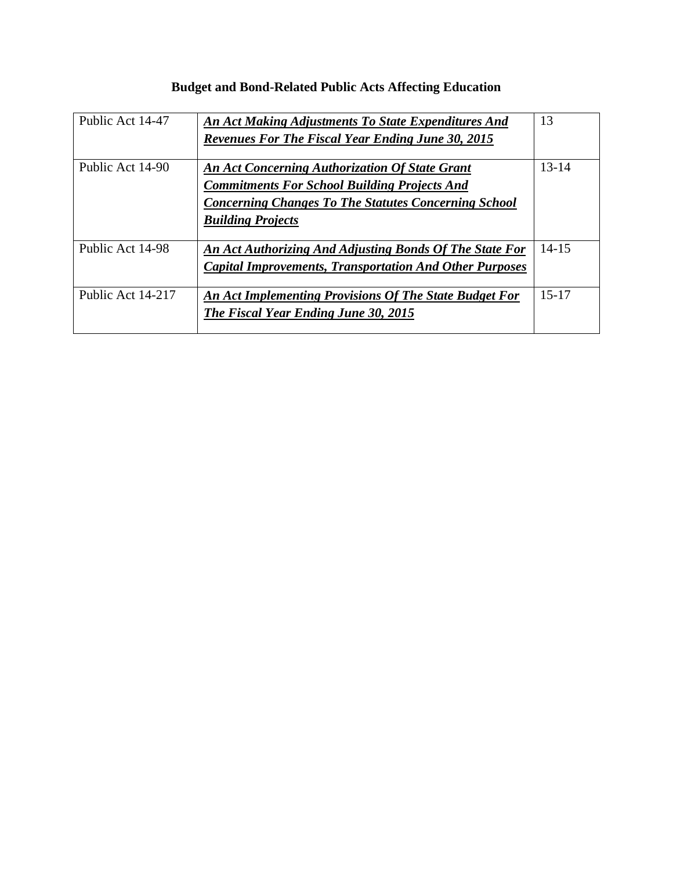| <b>Budget and Bond-Related Public Acts Affecting Education</b> |
|----------------------------------------------------------------|
|                                                                |

| Public Act 14-47  | An Act Making Adjustments To State Expenditures And<br><b>Revenues For The Fiscal Year Ending June 30, 2015</b>                                                                                         | 13        |
|-------------------|---------------------------------------------------------------------------------------------------------------------------------------------------------------------------------------------------------|-----------|
| Public Act 14-90  | <b>An Act Concerning Authorization Of State Grant</b><br><b>Commitments For School Building Projects And</b><br><b>Concerning Changes To The Statutes Concerning School</b><br><b>Building Projects</b> | $13 - 14$ |
| Public Act 14-98  | An Act Authorizing And Adjusting Bonds Of The State For<br><b>Capital Improvements, Transportation And Other Purposes</b>                                                                               | $14 - 15$ |
| Public Act 14-217 | An Act Implementing Provisions Of The State Budget For<br>The Fiscal Year Ending June 30, 2015                                                                                                          | $15 - 17$ |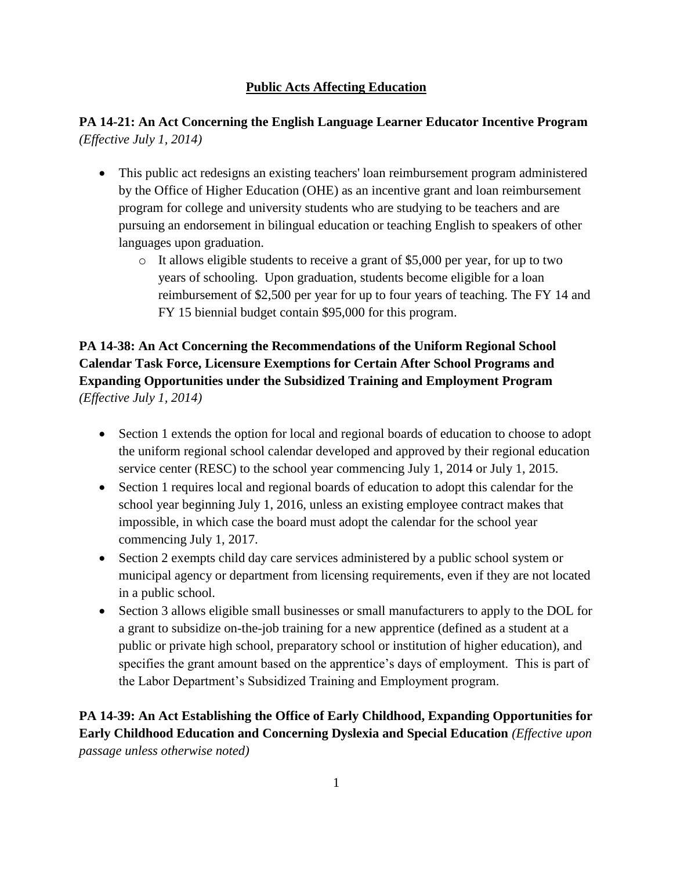#### **Public Acts Affecting Education**

## **PA 14-21: An Act Concerning the English Language Learner Educator Incentive Program** *(Effective July 1, 2014)*

- This public act redesigns an existing teachers' loan reimbursement program administered by the Office of Higher Education (OHE) as an incentive grant and loan reimbursement program for college and university students who are studying to be teachers and are pursuing an endorsement in bilingual education or teaching English to speakers of other languages upon graduation.
	- o It allows eligible students to receive a grant of \$5,000 per year, for up to two years of schooling. Upon graduation, students become eligible for a loan reimbursement of \$2,500 per year for up to four years of teaching. The FY 14 and FY 15 biennial budget contain \$95,000 for this program.

## **PA 14-38: An Act Concerning the Recommendations of the Uniform Regional School Calendar Task Force, Licensure Exemptions for Certain After School Programs and Expanding Opportunities under the Subsidized Training and Employment Program** *(Effective July 1, 2014)*

- Section 1 extends the option for local and regional boards of education to choose to adopt the uniform regional school calendar developed and approved by their regional education service center (RESC) to the school year commencing July 1, 2014 or July 1, 2015.
- Section 1 requires local and regional boards of education to adopt this calendar for the school year beginning July 1, 2016, unless an existing employee contract makes that impossible, in which case the board must adopt the calendar for the school year commencing July 1, 2017.
- Section 2 exempts child day care services administered by a public school system or municipal agency or department from licensing requirements, even if they are not located in a public school.
- Section 3 allows eligible small businesses or small manufacturers to apply to the DOL for a grant to subsidize on-the-job training for a new apprentice (defined as a student at a public or private high school, preparatory school or institution of higher education), and specifies the grant amount based on the apprentice's days of employment. This is part of the Labor Department's Subsidized Training and Employment program.

**PA 14-39: An Act Establishing the Office of Early Childhood, Expanding Opportunities for Early Childhood Education and Concerning Dyslexia and Special Education** *(Effective upon passage unless otherwise noted)*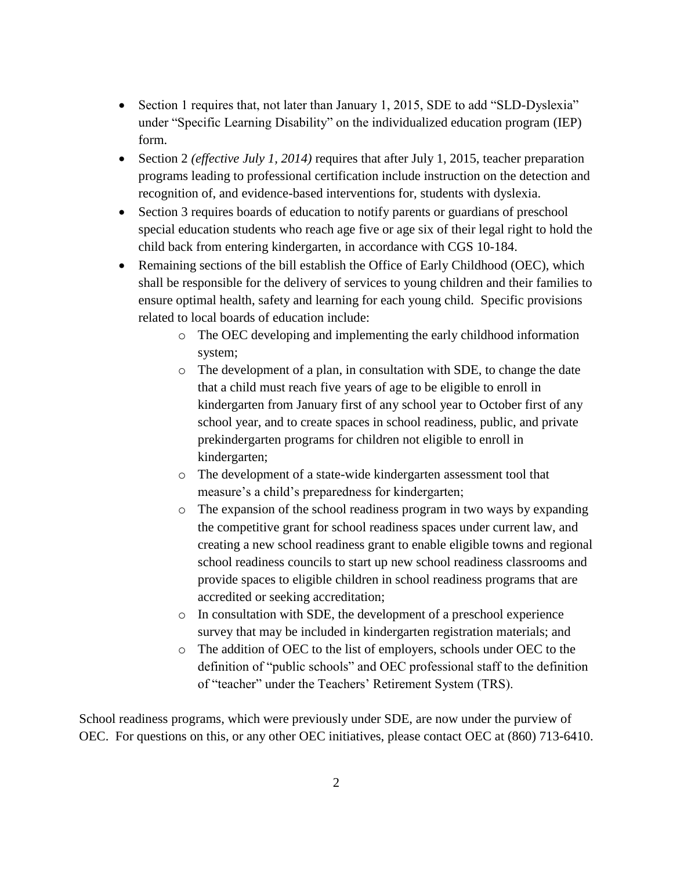- Section 1 requires that, not later than January 1, 2015, SDE to add "SLD-Dyslexia" under "Specific Learning Disability" on the individualized education program (IEP) form.
- Section 2 *(effective July 1, 2014)* requires that after July 1, 2015, teacher preparation programs leading to professional certification include instruction on the detection and recognition of, and evidence-based interventions for, students with dyslexia.
- Section 3 requires boards of education to notify parents or guardians of preschool special education students who reach age five or age six of their legal right to hold the child back from entering kindergarten, in accordance with CGS 10-184.
- Remaining sections of the bill establish the Office of Early Childhood (OEC), which shall be responsible for the delivery of services to young children and their families to ensure optimal health, safety and learning for each young child. Specific provisions related to local boards of education include:
	- o The OEC developing and implementing the early childhood information system;
	- o The development of a plan, in consultation with SDE, to change the date that a child must reach five years of age to be eligible to enroll in kindergarten from January first of any school year to October first of any school year, and to create spaces in school readiness, public, and private prekindergarten programs for children not eligible to enroll in kindergarten;
	- o The development of a state-wide kindergarten assessment tool that measure's a child's preparedness for kindergarten;
	- o The expansion of the school readiness program in two ways by expanding the competitive grant for school readiness spaces under current law, and creating a new school readiness grant to enable eligible towns and regional school readiness councils to start up new school readiness classrooms and provide spaces to eligible children in school readiness programs that are accredited or seeking accreditation;
	- o In consultation with SDE, the development of a preschool experience survey that may be included in kindergarten registration materials; and
	- o The addition of OEC to the list of employers, schools under OEC to the definition of "public schools" and OEC professional staff to the definition of "teacher" under the Teachers' Retirement System (TRS).

School readiness programs, which were previously under SDE, are now under the purview of OEC. For questions on this, or any other OEC initiatives, please contact OEC at (860) 713-6410.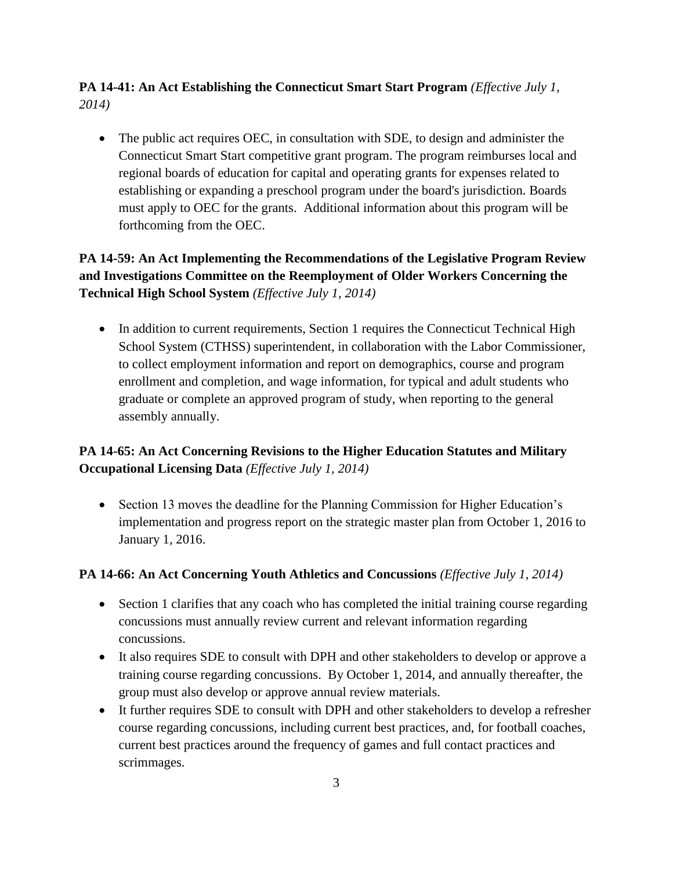### **PA 14-41: An Act Establishing the Connecticut Smart Start Program** *(Effective July 1, 2014)*

 The public act requires OEC, in consultation with SDE, to design and administer the Connecticut Smart Start competitive grant program. The program reimburses local and regional boards of education for capital and operating grants for expenses related to establishing or expanding a preschool program under the board's jurisdiction. Boards must apply to OEC for the grants. Additional information about this program will be forthcoming from the OEC.

## **PA 14-59: An Act Implementing the Recommendations of the Legislative Program Review and Investigations Committee on the Reemployment of Older Workers Concerning the Technical High School System** *(Effective July 1, 2014)*

• In addition to current requirements, Section 1 requires the Connecticut Technical High School System (CTHSS) superintendent, in collaboration with the Labor Commissioner, to collect employment information and report on demographics, course and program enrollment and completion, and wage information, for typical and adult students who graduate or complete an approved program of study, when reporting to the general assembly annually.

## **PA 14-65: An Act Concerning Revisions to the Higher Education Statutes and Military Occupational Licensing Data** *(Effective July 1, 2014)*

• Section 13 moves the deadline for the Planning Commission for Higher Education's implementation and progress report on the strategic master plan from October 1, 2016 to January 1, 2016.

#### **PA 14-66: An Act Concerning Youth Athletics and Concussions** *(Effective July 1, 2014)*

- Section 1 clarifies that any coach who has completed the initial training course regarding concussions must annually review current and relevant information regarding concussions.
- It also requires SDE to consult with DPH and other stakeholders to develop or approve a training course regarding concussions. By October 1, 2014, and annually thereafter, the group must also develop or approve annual review materials.
- It further requires SDE to consult with DPH and other stakeholders to develop a refresher course regarding concussions, including current best practices, and, for football coaches, current best practices around the frequency of games and full contact practices and scrimmages.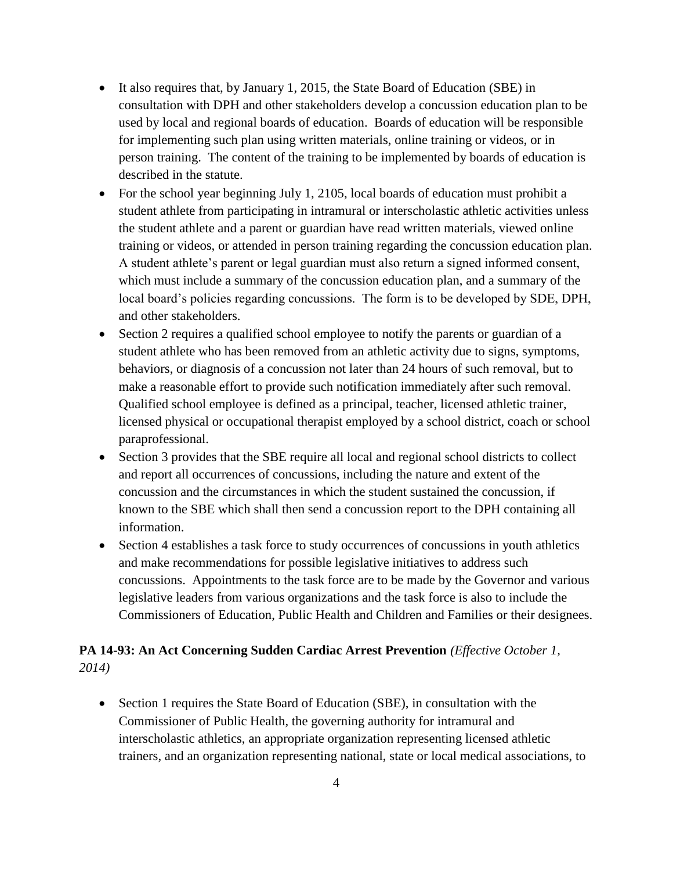- It also requires that, by January 1, 2015, the State Board of Education (SBE) in consultation with DPH and other stakeholders develop a concussion education plan to be used by local and regional boards of education. Boards of education will be responsible for implementing such plan using written materials, online training or videos, or in person training. The content of the training to be implemented by boards of education is described in the statute.
- For the school year beginning July 1, 2105, local boards of education must prohibit a student athlete from participating in intramural or interscholastic athletic activities unless the student athlete and a parent or guardian have read written materials, viewed online training or videos, or attended in person training regarding the concussion education plan. A student athlete's parent or legal guardian must also return a signed informed consent, which must include a summary of the concussion education plan, and a summary of the local board's policies regarding concussions. The form is to be developed by SDE, DPH, and other stakeholders.
- Section 2 requires a qualified school employee to notify the parents or guardian of a student athlete who has been removed from an athletic activity due to signs, symptoms, behaviors, or diagnosis of a concussion not later than 24 hours of such removal, but to make a reasonable effort to provide such notification immediately after such removal. Qualified school employee is defined as a principal, teacher, licensed athletic trainer, licensed physical or occupational therapist employed by a school district, coach or school paraprofessional.
- Section 3 provides that the SBE require all local and regional school districts to collect and report all occurrences of concussions, including the nature and extent of the concussion and the circumstances in which the student sustained the concussion, if known to the SBE which shall then send a concussion report to the DPH containing all information.
- Section 4 establishes a task force to study occurrences of concussions in youth athletics and make recommendations for possible legislative initiatives to address such concussions. Appointments to the task force are to be made by the Governor and various legislative leaders from various organizations and the task force is also to include the Commissioners of Education, Public Health and Children and Families or their designees.

#### **PA 14-93: An Act Concerning Sudden Cardiac Arrest Prevention** *(Effective October 1, 2014)*

 Section 1 requires the State Board of Education (SBE), in consultation with the Commissioner of Public Health, the governing authority for intramural and interscholastic athletics, an appropriate organization representing licensed athletic trainers, and an organization representing national, state or local medical associations, to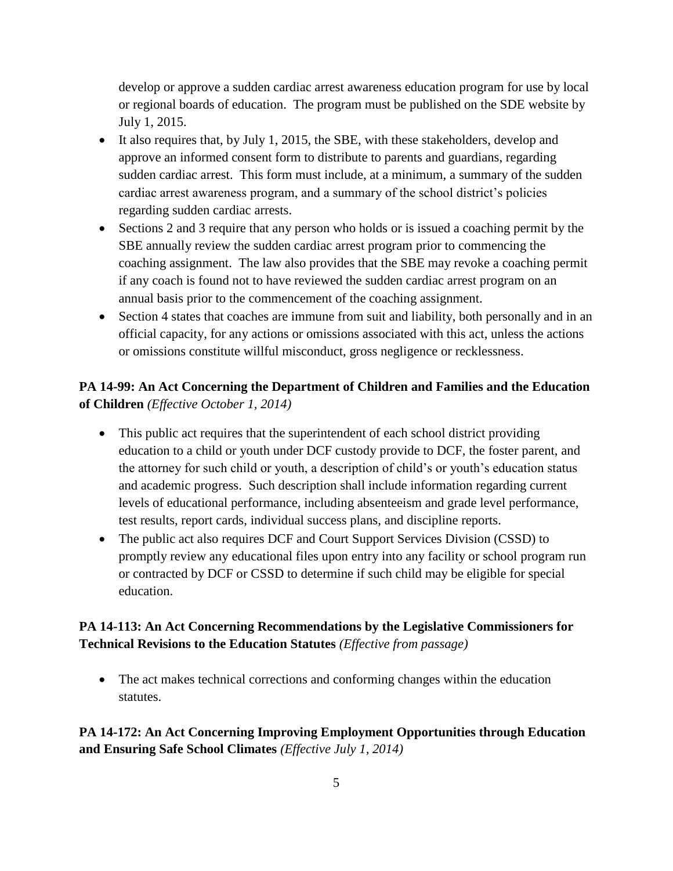develop or approve a sudden cardiac arrest awareness education program for use by local or regional boards of education. The program must be published on the SDE website by July 1, 2015.

- $\bullet$  It also requires that, by July 1, 2015, the SBE, with these stakeholders, develop and approve an informed consent form to distribute to parents and guardians, regarding sudden cardiac arrest. This form must include, at a minimum, a summary of the sudden cardiac arrest awareness program, and a summary of the school district's policies regarding sudden cardiac arrests.
- Sections 2 and 3 require that any person who holds or is issued a coaching permit by the SBE annually review the sudden cardiac arrest program prior to commencing the coaching assignment. The law also provides that the SBE may revoke a coaching permit if any coach is found not to have reviewed the sudden cardiac arrest program on an annual basis prior to the commencement of the coaching assignment.
- Section 4 states that coaches are immune from suit and liability, both personally and in an official capacity, for any actions or omissions associated with this act, unless the actions or omissions constitute willful misconduct, gross negligence or recklessness.

### **PA 14-99: An Act Concerning the Department of Children and Families and the Education of Children** *(Effective October 1, 2014)*

- This public act requires that the superintendent of each school district providing education to a child or youth under DCF custody provide to DCF, the foster parent, and the attorney for such child or youth, a description of child's or youth's education status and academic progress. Such description shall include information regarding current levels of educational performance, including absenteeism and grade level performance, test results, report cards, individual success plans, and discipline reports.
- The public act also requires DCF and Court Support Services Division (CSSD) to promptly review any educational files upon entry into any facility or school program run or contracted by DCF or CSSD to determine if such child may be eligible for special education.

## **PA 14-113: An Act Concerning Recommendations by the Legislative Commissioners for Technical Revisions to the Education Statutes** *(Effective from passage)*

 The act makes technical corrections and conforming changes within the education statutes.

**PA 14-172: An Act Concerning Improving Employment Opportunities through Education and Ensuring Safe School Climates** *(Effective July 1, 2014)*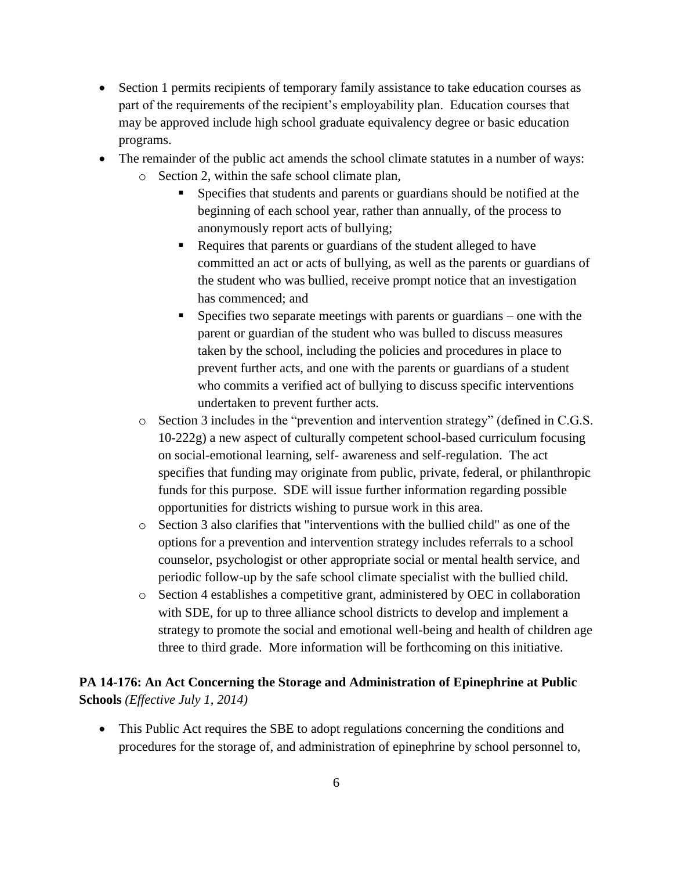- Section 1 permits recipients of temporary family assistance to take education courses as part of the requirements of the recipient's employability plan. Education courses that may be approved include high school graduate equivalency degree or basic education programs.
- The remainder of the public act amends the school climate statutes in a number of ways:
	- o Section 2, within the safe school climate plan,
		- Specifies that students and parents or guardians should be notified at the beginning of each school year, rather than annually, of the process to anonymously report acts of bullying;
		- Requires that parents or guardians of the student alleged to have committed an act or acts of bullying, as well as the parents or guardians of the student who was bullied, receive prompt notice that an investigation has commenced; and
		- Specifies two separate meetings with parents or guardians one with the parent or guardian of the student who was bulled to discuss measures taken by the school, including the policies and procedures in place to prevent further acts, and one with the parents or guardians of a student who commits a verified act of bullying to discuss specific interventions undertaken to prevent further acts.
	- o Section 3 includes in the "prevention and intervention strategy" (defined in C.G.S. 10-222g) a new aspect of culturally competent school-based curriculum focusing on social-emotional learning, self- awareness and self-regulation. The act specifies that funding may originate from public, private, federal, or philanthropic funds for this purpose. SDE will issue further information regarding possible opportunities for districts wishing to pursue work in this area.
	- o Section 3 also clarifies that "interventions with the bullied child" as one of the options for a prevention and intervention strategy includes referrals to a school counselor, psychologist or other appropriate social or mental health service, and periodic follow-up by the safe school climate specialist with the bullied child.
	- o Section 4 establishes a competitive grant, administered by OEC in collaboration with SDE, for up to three alliance school districts to develop and implement a strategy to promote the social and emotional well-being and health of children age three to third grade. More information will be forthcoming on this initiative.

#### **PA 14-176: An Act Concerning the Storage and Administration of Epinephrine at Public Schools** *(Effective July 1, 2014)*

 This Public Act requires the SBE to adopt regulations concerning the conditions and procedures for the storage of, and administration of epinephrine by school personnel to,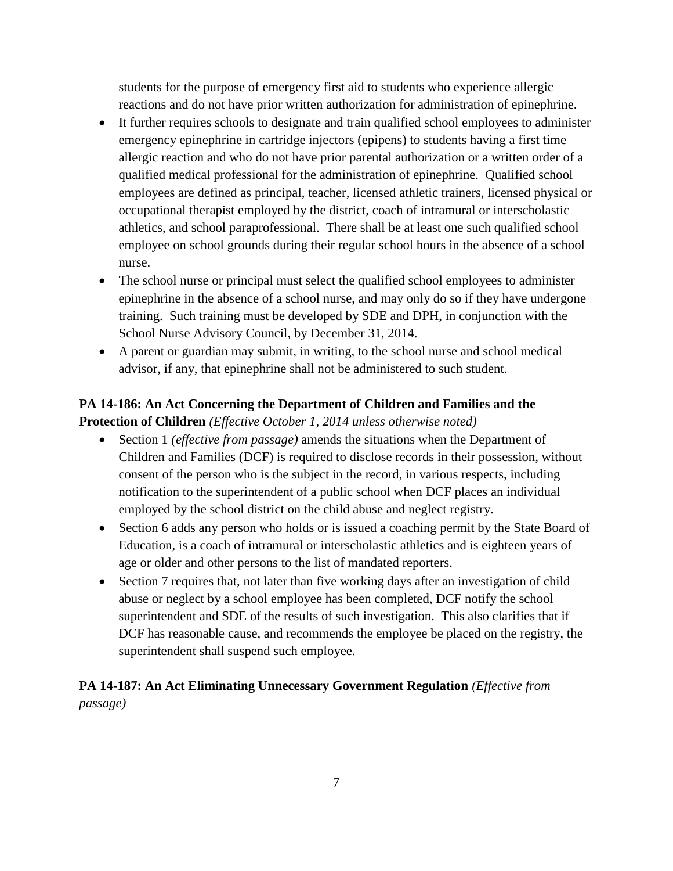students for the purpose of emergency first aid to students who experience allergic reactions and do not have prior written authorization for administration of epinephrine.

- It further requires schools to designate and train qualified school employees to administer emergency epinephrine in cartridge injectors (epipens) to students having a first time allergic reaction and who do not have prior parental authorization or a written order of a qualified medical professional for the administration of epinephrine. Qualified school employees are defined as principal, teacher, licensed athletic trainers, licensed physical or occupational therapist employed by the district, coach of intramural or interscholastic athletics, and school paraprofessional. There shall be at least one such qualified school employee on school grounds during their regular school hours in the absence of a school nurse.
- The school nurse or principal must select the qualified school employees to administer epinephrine in the absence of a school nurse, and may only do so if they have undergone training. Such training must be developed by SDE and DPH, in conjunction with the School Nurse Advisory Council, by December 31, 2014.
- A parent or guardian may submit, in writing, to the school nurse and school medical advisor, if any, that epinephrine shall not be administered to such student.

## **PA 14-186: An Act Concerning the Department of Children and Families and the Protection of Children** *(Effective October 1, 2014 unless otherwise noted)*

- Section 1 *(effective from passage)* amends the situations when the Department of Children and Families (DCF) is required to disclose records in their possession, without consent of the person who is the subject in the record, in various respects, including notification to the superintendent of a public school when DCF places an individual employed by the school district on the child abuse and neglect registry.
- Section 6 adds any person who holds or is issued a coaching permit by the State Board of Education, is a coach of intramural or interscholastic athletics and is eighteen years of age or older and other persons to the list of mandated reporters.
- Section 7 requires that, not later than five working days after an investigation of child abuse or neglect by a school employee has been completed, DCF notify the school superintendent and SDE of the results of such investigation. This also clarifies that if DCF has reasonable cause, and recommends the employee be placed on the registry, the superintendent shall suspend such employee.

## **PA 14-187: An Act Eliminating Unnecessary Government Regulation** *(Effective from passage)*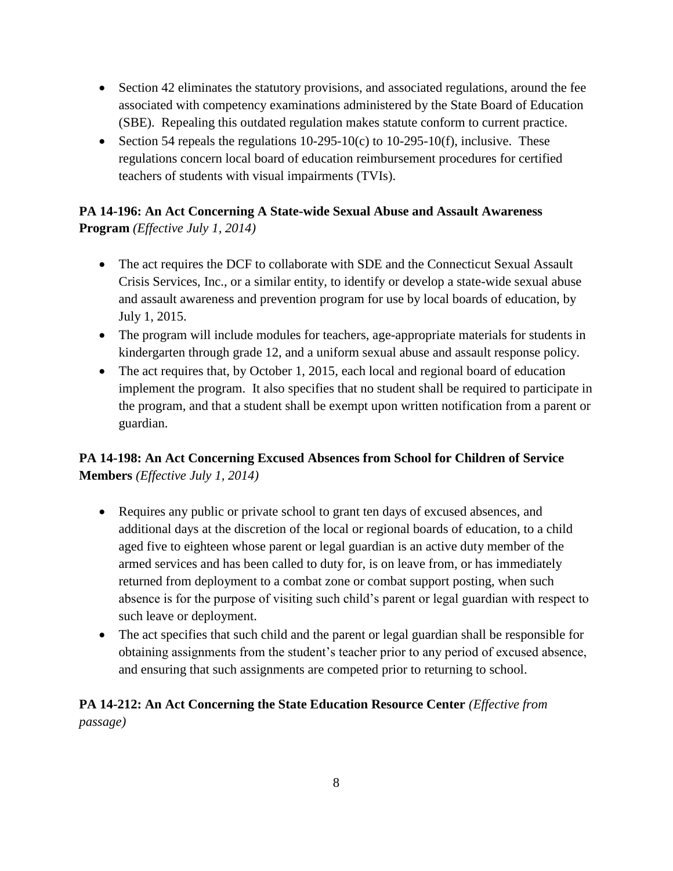- Section 42 eliminates the statutory provisions, and associated regulations, around the fee associated with competency examinations administered by the State Board of Education (SBE). Repealing this outdated regulation makes statute conform to current practice.
- Section 54 repeals the regulations  $10-295-10(c)$  to  $10-295-10(f)$ , inclusive. These regulations concern local board of education reimbursement procedures for certified teachers of students with visual impairments (TVIs).

### **PA 14-196: An Act Concerning A State-wide Sexual Abuse and Assault Awareness Program** *(Effective July 1, 2014)*

- The act requires the DCF to collaborate with SDE and the Connecticut Sexual Assault Crisis Services, Inc., or a similar entity, to identify or develop a state-wide sexual abuse and assault awareness and prevention program for use by local boards of education, by July 1, 2015.
- The program will include modules for teachers, age-appropriate materials for students in kindergarten through grade 12, and a uniform sexual abuse and assault response policy.
- The act requires that, by October 1, 2015, each local and regional board of education implement the program. It also specifies that no student shall be required to participate in the program, and that a student shall be exempt upon written notification from a parent or guardian.

## **PA 14-198: An Act Concerning Excused Absences from School for Children of Service Members** *(Effective July 1, 2014)*

- Requires any public or private school to grant ten days of excused absences, and additional days at the discretion of the local or regional boards of education, to a child aged five to eighteen whose parent or legal guardian is an active duty member of the armed services and has been called to duty for, is on leave from, or has immediately returned from deployment to a combat zone or combat support posting, when such absence is for the purpose of visiting such child's parent or legal guardian with respect to such leave or deployment.
- The act specifies that such child and the parent or legal guardian shall be responsible for obtaining assignments from the student's teacher prior to any period of excused absence, and ensuring that such assignments are competed prior to returning to school.

## **PA 14-212: An Act Concerning the State Education Resource Center** *(Effective from passage)*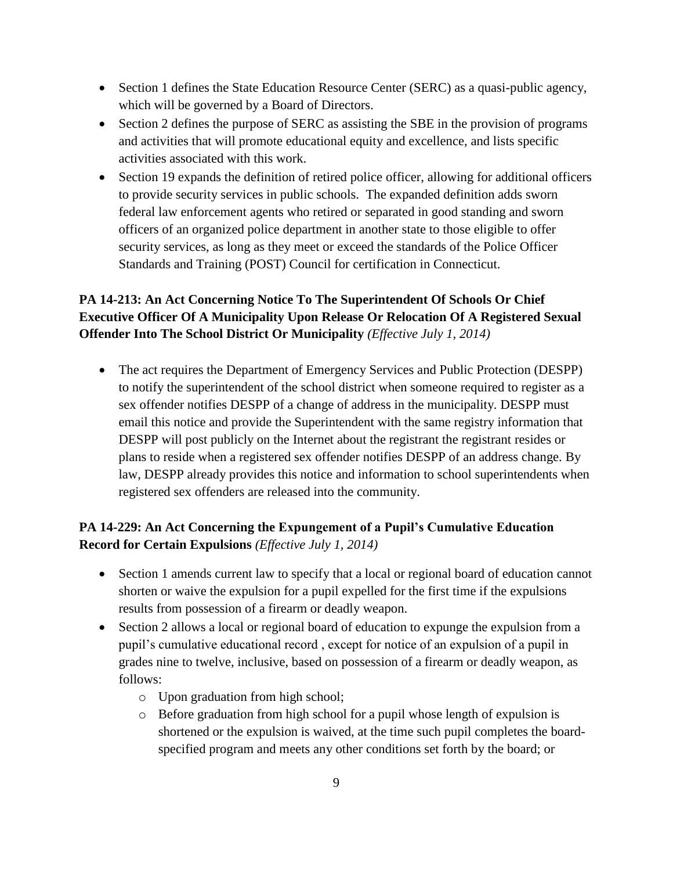- Section 1 defines the State Education Resource Center (SERC) as a quasi-public agency, which will be governed by a Board of Directors.
- Section 2 defines the purpose of SERC as assisting the SBE in the provision of programs and activities that will promote educational equity and excellence, and lists specific activities associated with this work.
- Section 19 expands the definition of retired police officer, allowing for additional officers to provide security services in public schools. The expanded definition adds sworn federal law enforcement agents who retired or separated in good standing and sworn officers of an organized police department in another state to those eligible to offer security services, as long as they meet or exceed the standards of the Police Officer Standards and Training (POST) Council for certification in Connecticut.

## **PA 14-213: An Act Concerning Notice To The Superintendent Of Schools Or Chief Executive Officer Of A Municipality Upon Release Or Relocation Of A Registered Sexual Offender Into The School District Or Municipality** *(Effective July 1, 2014)*

 The act requires the Department of Emergency Services and Public Protection (DESPP) to notify the superintendent of the school district when someone required to register as a sex offender notifies DESPP of a change of address in the municipality. DESPP must email this notice and provide the Superintendent with the same registry information that DESPP will post publicly on the Internet about the registrant the registrant resides or plans to reside when a registered sex offender notifies DESPP of an address change. By law, DESPP already provides this notice and information to school superintendents when registered sex offenders are released into the community.

## **PA 14-229: An Act Concerning the Expungement of a Pupil's Cumulative Education Record for Certain Expulsions** *(Effective July 1, 2014)*

- Section 1 amends current law to specify that a local or regional board of education cannot shorten or waive the expulsion for a pupil expelled for the first time if the expulsions results from possession of a firearm or deadly weapon.
- Section 2 allows a local or regional board of education to expunge the expulsion from a pupil's cumulative educational record , except for notice of an expulsion of a pupil in grades nine to twelve, inclusive, based on possession of a firearm or deadly weapon, as follows:
	- o Upon graduation from high school;
	- o Before graduation from high school for a pupil whose length of expulsion is shortened or the expulsion is waived, at the time such pupil completes the boardspecified program and meets any other conditions set forth by the board; or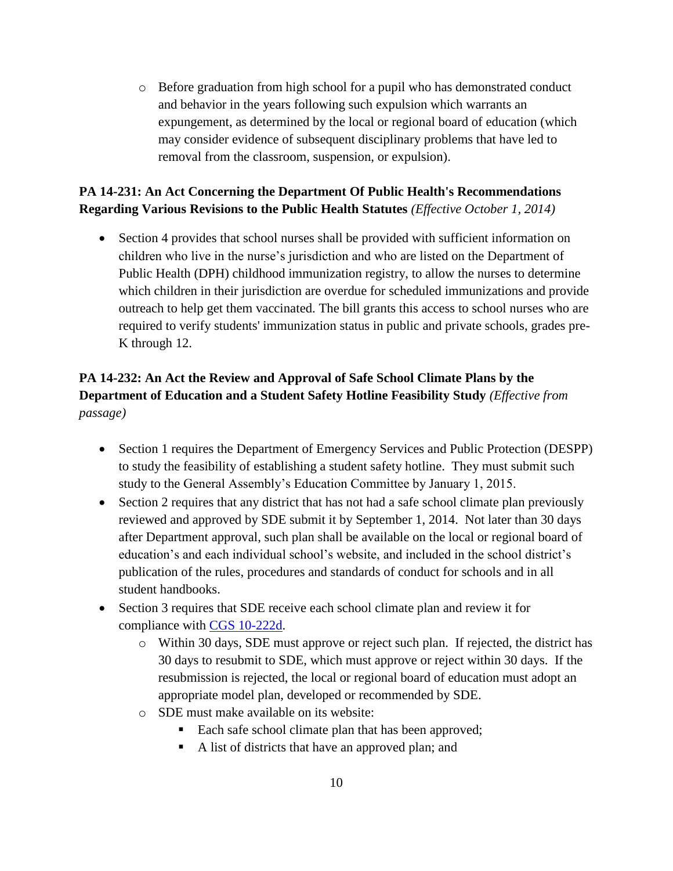o Before graduation from high school for a pupil who has demonstrated conduct and behavior in the years following such expulsion which warrants an expungement, as determined by the local or regional board of education (which may consider evidence of subsequent disciplinary problems that have led to removal from the classroom, suspension, or expulsion).

## **PA 14-231: An Act Concerning the Department Of Public Health's Recommendations Regarding Various Revisions to the Public Health Statutes** *(Effective October 1, 2014)*

• Section 4 provides that school nurses shall be provided with sufficient information on children who live in the nurse's jurisdiction and who are listed on the Department of Public Health (DPH) childhood immunization registry, to allow the nurses to determine which children in their jurisdiction are overdue for scheduled immunizations and provide outreach to help get them vaccinated. The bill grants this access to school nurses who are required to verify students' immunization status in public and private schools, grades pre-K through 12.

## **PA 14-232: An Act the Review and Approval of Safe School Climate Plans by the Department of Education and a Student Safety Hotline Feasibility Study** *(Effective from passage)*

- Section 1 requires the Department of Emergency Services and Public Protection (DESPP) to study the feasibility of establishing a student safety hotline. They must submit such study to the General Assembly's Education Committee by January 1, 2015.
- Section 2 requires that any district that has not had a safe school climate plan previously reviewed and approved by SDE submit it by September 1, 2014. Not later than 30 days after Department approval, such plan shall be available on the local or regional board of education's and each individual school's website, and included in the school district's publication of the rules, procedures and standards of conduct for schools and in all student handbooks.
- Section 3 requires that SDE receive each school climate plan and review it for compliance with [CGS 10-222d.](http://cga.ct.gov/current/pub/chap_170.htm#sec_10-222d)
	- o Within 30 days, SDE must approve or reject such plan. If rejected, the district has 30 days to resubmit to SDE, which must approve or reject within 30 days. If the resubmission is rejected, the local or regional board of education must adopt an appropriate model plan, developed or recommended by SDE.
	- o SDE must make available on its website:
		- Each safe school climate plan that has been approved;
		- A list of districts that have an approved plan; and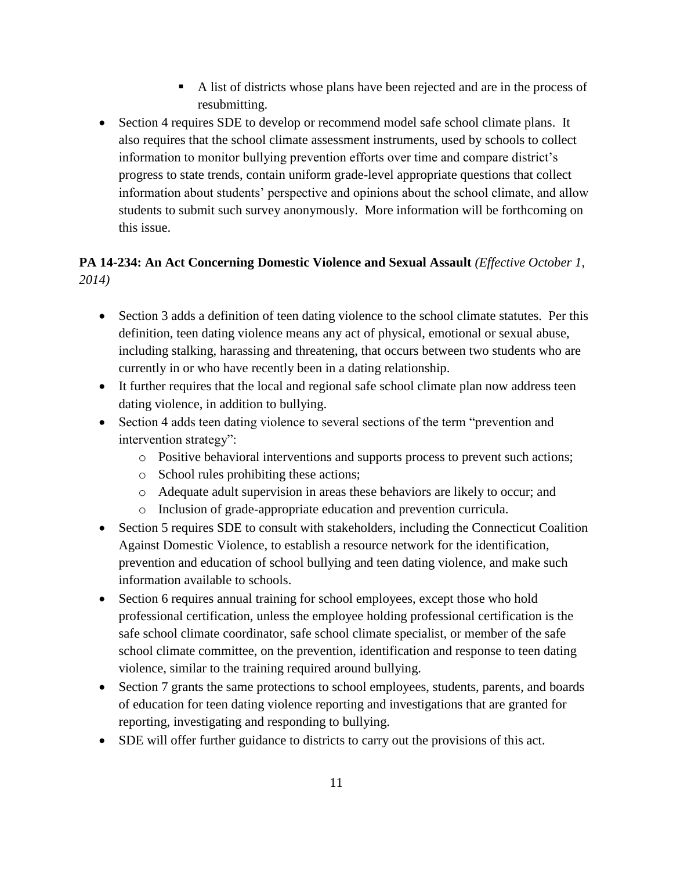- A list of districts whose plans have been rejected and are in the process of resubmitting.
- Section 4 requires SDE to develop or recommend model safe school climate plans. It also requires that the school climate assessment instruments, used by schools to collect information to monitor bullying prevention efforts over time and compare district's progress to state trends, contain uniform grade-level appropriate questions that collect information about students' perspective and opinions about the school climate, and allow students to submit such survey anonymously. More information will be forthcoming on this issue.

## **PA 14-234: An Act Concerning Domestic Violence and Sexual Assault** *(Effective October 1, 2014)*

- Section 3 adds a definition of teen dating violence to the school climate statutes. Per this definition, teen dating violence means any act of physical, emotional or sexual abuse, including stalking, harassing and threatening, that occurs between two students who are currently in or who have recently been in a dating relationship.
- It further requires that the local and regional safe school climate plan now address teen dating violence, in addition to bullying.
- Section 4 adds teen dating violence to several sections of the term "prevention and intervention strategy":
	- o Positive behavioral interventions and supports process to prevent such actions;
	- o School rules prohibiting these actions;
	- o Adequate adult supervision in areas these behaviors are likely to occur; and
	- o Inclusion of grade-appropriate education and prevention curricula.
- Section 5 requires SDE to consult with stakeholders, including the Connecticut Coalition Against Domestic Violence, to establish a resource network for the identification, prevention and education of school bullying and teen dating violence, and make such information available to schools.
- Section 6 requires annual training for school employees, except those who hold professional certification, unless the employee holding professional certification is the safe school climate coordinator, safe school climate specialist, or member of the safe school climate committee, on the prevention, identification and response to teen dating violence, similar to the training required around bullying.
- Section 7 grants the same protections to school employees, students, parents, and boards of education for teen dating violence reporting and investigations that are granted for reporting, investigating and responding to bullying.
- SDE will offer further guidance to districts to carry out the provisions of this act.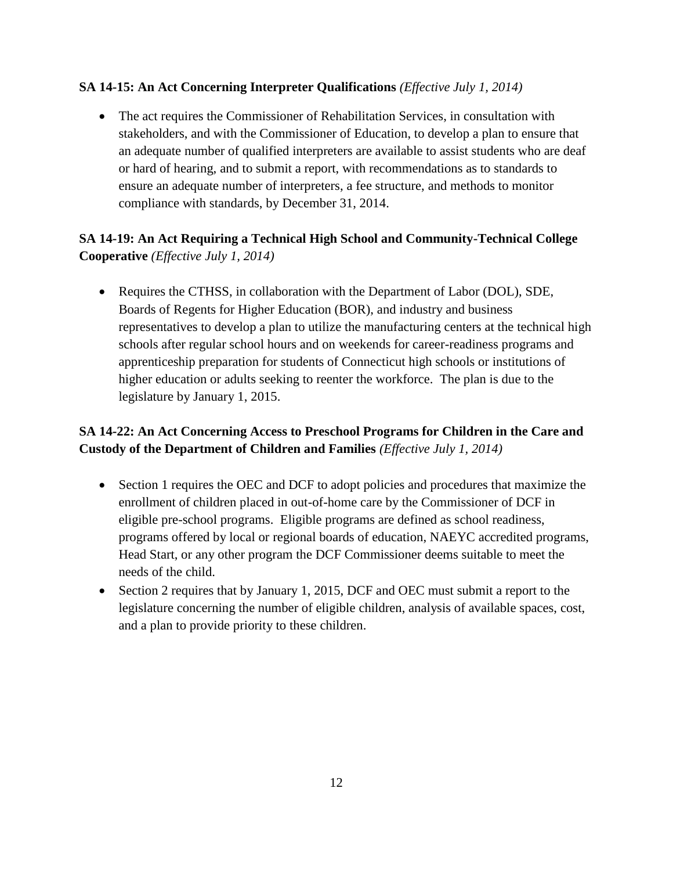#### **SA 14-15: An Act Concerning Interpreter Qualifications** *(Effective July 1, 2014)*

 The act requires the Commissioner of Rehabilitation Services, in consultation with stakeholders, and with the Commissioner of Education, to develop a plan to ensure that an adequate number of qualified interpreters are available to assist students who are deaf or hard of hearing, and to submit a report, with recommendations as to standards to ensure an adequate number of interpreters, a fee structure, and methods to monitor compliance with standards, by December 31, 2014.

## **SA 14-19: An Act Requiring a Technical High School and Community-Technical College Cooperative** *(Effective July 1, 2014)*

• Requires the CTHSS, in collaboration with the Department of Labor (DOL), SDE, Boards of Regents for Higher Education (BOR), and industry and business representatives to develop a plan to utilize the manufacturing centers at the technical high schools after regular school hours and on weekends for career-readiness programs and apprenticeship preparation for students of Connecticut high schools or institutions of higher education or adults seeking to reenter the workforce. The plan is due to the legislature by January 1, 2015.

#### **SA 14-22: An Act Concerning Access to Preschool Programs for Children in the Care and Custody of the Department of Children and Families** *(Effective July 1, 2014)*

- Section 1 requires the OEC and DCF to adopt policies and procedures that maximize the enrollment of children placed in out-of-home care by the Commissioner of DCF in eligible pre-school programs. Eligible programs are defined as school readiness, programs offered by local or regional boards of education, NAEYC accredited programs, Head Start, or any other program the DCF Commissioner deems suitable to meet the needs of the child.
- Section 2 requires that by January 1, 2015, DCF and OEC must submit a report to the legislature concerning the number of eligible children, analysis of available spaces, cost, and a plan to provide priority to these children.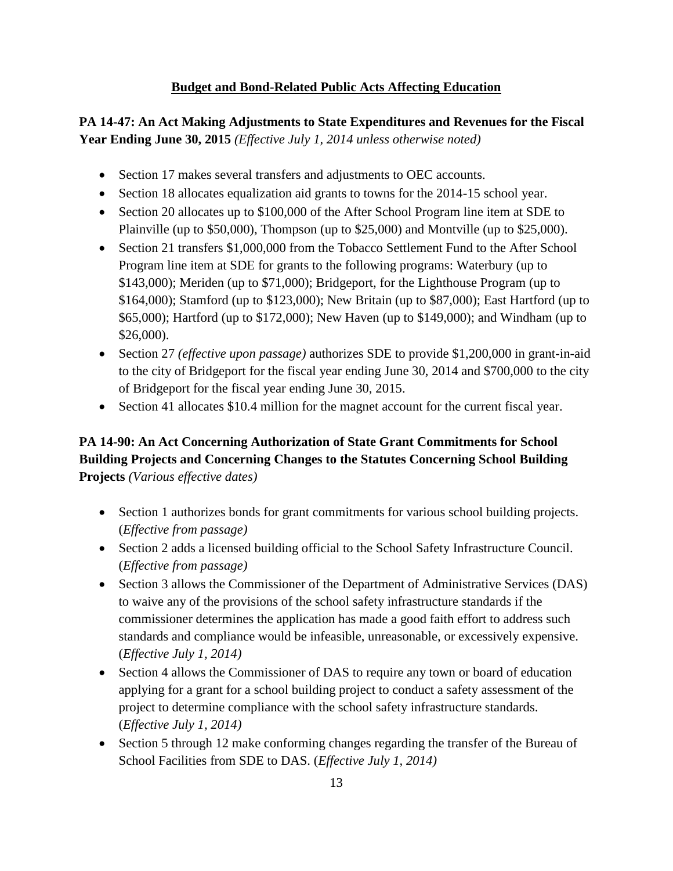#### **Budget and Bond-Related Public Acts Affecting Education**

**PA 14-47: An Act Making Adjustments to State Expenditures and Revenues for the Fiscal Year Ending June 30, 2015** *(Effective July 1, 2014 unless otherwise noted)*

- Section 17 makes several transfers and adjustments to OEC accounts.
- Section 18 allocates equalization aid grants to towns for the 2014-15 school year.
- Section 20 allocates up to \$100,000 of the After School Program line item at SDE to Plainville (up to \$50,000), Thompson (up to \$25,000) and Montville (up to \$25,000).
- Section 21 transfers \$1,000,000 from the Tobacco Settlement Fund to the After School Program line item at SDE for grants to the following programs: Waterbury (up to \$143,000); Meriden (up to \$71,000); Bridgeport, for the Lighthouse Program (up to \$164,000); Stamford (up to \$123,000); New Britain (up to \$87,000); East Hartford (up to \$65,000); Hartford (up to \$172,000); New Haven (up to \$149,000); and Windham (up to \$26,000).
- Section 27 *(effective upon passage)* authorizes SDE to provide \$1,200,000 in grant-in-aid to the city of Bridgeport for the fiscal year ending June 30, 2014 and \$700,000 to the city of Bridgeport for the fiscal year ending June 30, 2015.
- Section 41 allocates \$10.4 million for the magnet account for the current fiscal year.

## **PA 14-90: An Act Concerning Authorization of State Grant Commitments for School Building Projects and Concerning Changes to the Statutes Concerning School Building Projects** *(Various effective dates)*

- Section 1 authorizes bonds for grant commitments for various school building projects. (*Effective from passage)*
- Section 2 adds a licensed building official to the School Safety Infrastructure Council. (*Effective from passage)*
- Section 3 allows the Commissioner of the Department of Administrative Services (DAS) to waive any of the provisions of the school safety infrastructure standards if the commissioner determines the application has made a good faith effort to address such standards and compliance would be infeasible, unreasonable, or excessively expensive. (*Effective July 1, 2014)*
- Section 4 allows the Commissioner of DAS to require any town or board of education applying for a grant for a school building project to conduct a safety assessment of the project to determine compliance with the school safety infrastructure standards. (*Effective July 1, 2014)*
- Section 5 through 12 make conforming changes regarding the transfer of the Bureau of School Facilities from SDE to DAS. (*Effective July 1, 2014)*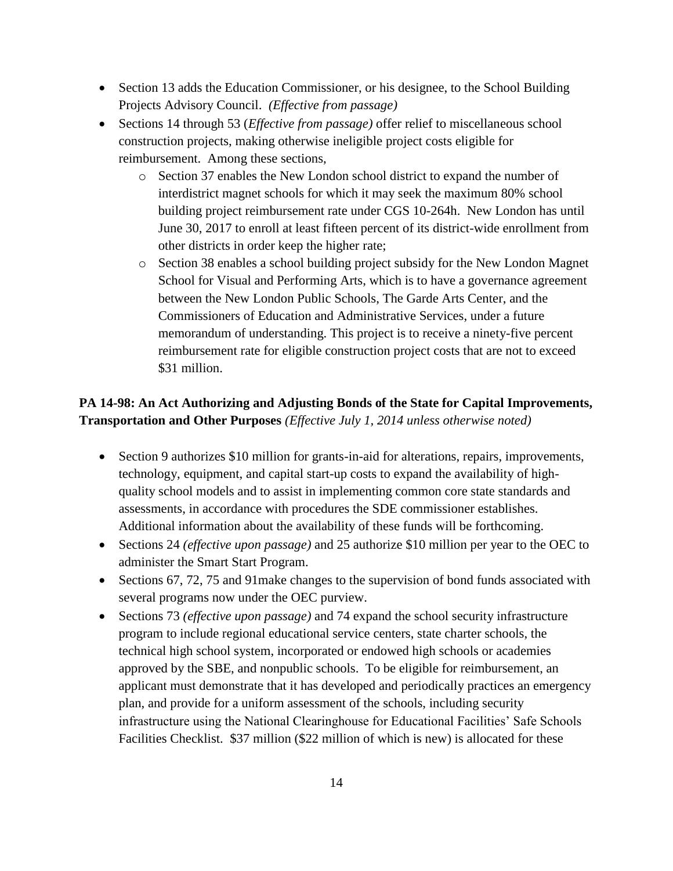- Section 13 adds the Education Commissioner, or his designee, to the School Building Projects Advisory Council. *(Effective from passage)*
- Sections 14 through 53 (*Effective from passage)* offer relief to miscellaneous school construction projects, making otherwise ineligible project costs eligible for reimbursement. Among these sections,
	- o Section 37 enables the New London school district to expand the number of interdistrict magnet schools for which it may seek the maximum 80% school building project reimbursement rate under CGS 10-264h. New London has until June 30, 2017 to enroll at least fifteen percent of its district-wide enrollment from other districts in order keep the higher rate;
	- o Section 38 enables a school building project subsidy for the New London Magnet School for Visual and Performing Arts, which is to have a governance agreement between the New London Public Schools, The Garde Arts Center, and the Commissioners of Education and Administrative Services, under a future memorandum of understanding. This project is to receive a ninety-five percent reimbursement rate for eligible construction project costs that are not to exceed \$31 million.

## **PA 14-98: An Act Authorizing and Adjusting Bonds of the State for Capital Improvements, Transportation and Other Purposes** *(Effective July 1, 2014 unless otherwise noted)*

- Section 9 authorizes \$10 million for grants-in-aid for alterations, repairs, improvements, technology, equipment, and capital start-up costs to expand the availability of highquality school models and to assist in implementing common core state standards and assessments, in accordance with procedures the SDE commissioner establishes. Additional information about the availability of these funds will be forthcoming.
- Sections 24 *(effective upon passage)* and 25 authorize \$10 million per year to the OEC to administer the Smart Start Program.
- Sections 67, 72, 75 and 91 make changes to the supervision of bond funds associated with several programs now under the OEC purview.
- Sections 73 *(effective upon passage)* and 74 expand the school security infrastructure program to include regional educational service centers, state charter schools, the technical high school system, incorporated or endowed high schools or academies approved by the SBE, and nonpublic schools. To be eligible for reimbursement, an applicant must demonstrate that it has developed and periodically practices an emergency plan, and provide for a uniform assessment of the schools, including security infrastructure using the National Clearinghouse for Educational Facilities' Safe Schools Facilities Checklist. \$37 million (\$22 million of which is new) is allocated for these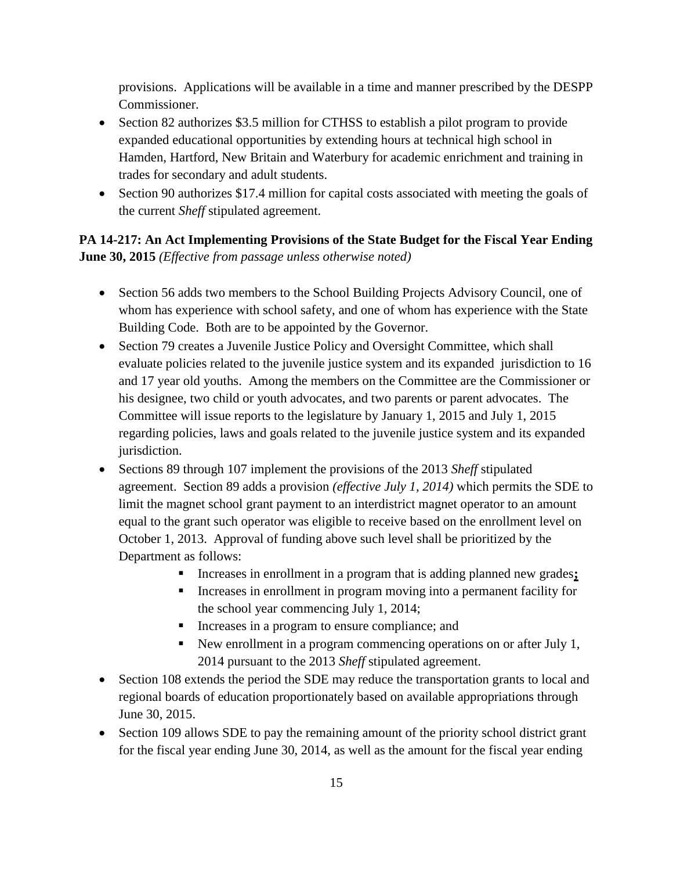provisions. Applications will be available in a time and manner prescribed by the DESPP Commissioner.

- Section 82 authorizes \$3.5 million for CTHSS to establish a pilot program to provide expanded educational opportunities by extending hours at technical high school in Hamden, Hartford, New Britain and Waterbury for academic enrichment and training in trades for secondary and adult students.
- Section 90 authorizes \$17.4 million for capital costs associated with meeting the goals of the current *Sheff* stipulated agreement.

## **PA 14-217: An Act Implementing Provisions of the State Budget for the Fiscal Year Ending June 30, 2015** *(Effective from passage unless otherwise noted)*

- Section 56 adds two members to the School Building Projects Advisory Council, one of whom has experience with school safety, and one of whom has experience with the State Building Code. Both are to be appointed by the Governor.
- Section 79 creates a Juvenile Justice Policy and Oversight Committee, which shall evaluate policies related to the juvenile justice system and its expanded jurisdiction to 16 and 17 year old youths. Among the members on the Committee are the Commissioner or his designee, two child or youth advocates, and two parents or parent advocates. The Committee will issue reports to the legislature by January 1, 2015 and July 1, 2015 regarding policies, laws and goals related to the juvenile justice system and its expanded jurisdiction.
- Sections 89 through 107 implement the provisions of the 2013 *Sheff* stipulated agreement. Section 89 adds a provision *(effective July 1, 2014)* which permits the SDE to limit the magnet school grant payment to an interdistrict magnet operator to an amount equal to the grant such operator was eligible to receive based on the enrollment level on October 1, 2013. Approval of funding above such level shall be prioritized by the Department as follows:
	- Increases in enrollment in a program that is adding planned new grades**;**
	- Increases in enrollment in program moving into a permanent facility for the school year commencing July 1, 2014;
	- Increases in a program to ensure compliance; and
	- New enrollment in a program commencing operations on or after July 1, 2014 pursuant to the 2013 *Sheff* stipulated agreement.
- Section 108 extends the period the SDE may reduce the transportation grants to local and regional boards of education proportionately based on available appropriations through June 30, 2015.
- Section 109 allows SDE to pay the remaining amount of the priority school district grant for the fiscal year ending June 30, 2014, as well as the amount for the fiscal year ending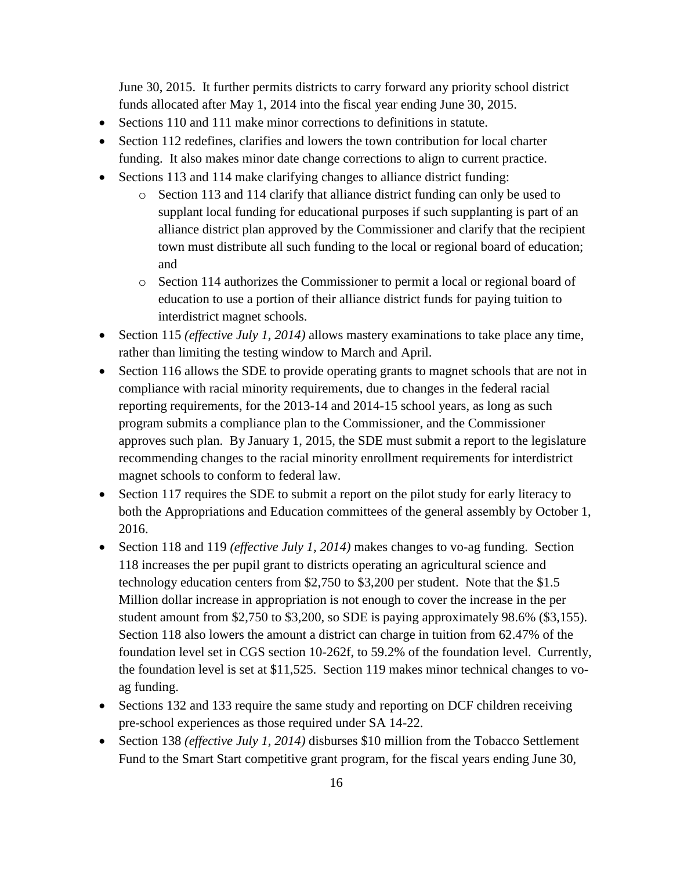June 30, 2015. It further permits districts to carry forward any priority school district funds allocated after May 1, 2014 into the fiscal year ending June 30, 2015.

- Sections 110 and 111 make minor corrections to definitions in statute.
- Section 112 redefines, clarifies and lowers the town contribution for local charter funding. It also makes minor date change corrections to align to current practice.
- Sections 113 and 114 make clarifying changes to alliance district funding:
	- o Section 113 and 114 clarify that alliance district funding can only be used to supplant local funding for educational purposes if such supplanting is part of an alliance district plan approved by the Commissioner and clarify that the recipient town must distribute all such funding to the local or regional board of education; and
	- o Section 114 authorizes the Commissioner to permit a local or regional board of education to use a portion of their alliance district funds for paying tuition to interdistrict magnet schools.
- Section 115 *(effective July 1, 2014)* allows mastery examinations to take place any time, rather than limiting the testing window to March and April.
- Section 116 allows the SDE to provide operating grants to magnet schools that are not in compliance with racial minority requirements, due to changes in the federal racial reporting requirements, for the 2013-14 and 2014-15 school years, as long as such program submits a compliance plan to the Commissioner, and the Commissioner approves such plan. By January 1, 2015, the SDE must submit a report to the legislature recommending changes to the racial minority enrollment requirements for interdistrict magnet schools to conform to federal law.
- Section 117 requires the SDE to submit a report on the pilot study for early literacy to both the Appropriations and Education committees of the general assembly by October 1, 2016.
- Section 118 and 119 *(effective July 1, 2014)* makes changes to vo-ag funding. Section 118 increases the per pupil grant to districts operating an agricultural science and technology education centers from \$2,750 to \$3,200 per student. Note that the \$1.5 Million dollar increase in appropriation is not enough to cover the increase in the per student amount from \$2,750 to \$3,200, so SDE is paying approximately 98.6% (\$3,155). Section 118 also lowers the amount a district can charge in tuition from 62.47% of the foundation level set in CGS section 10-262f, to 59.2% of the foundation level. Currently, the foundation level is set at \$11,525. Section 119 makes minor technical changes to voag funding.
- Sections 132 and 133 require the same study and reporting on DCF children receiving pre-school experiences as those required under SA 14-22.
- Section 138 *(effective July 1, 2014)* disburses \$10 million from the Tobacco Settlement Fund to the Smart Start competitive grant program, for the fiscal years ending June 30,